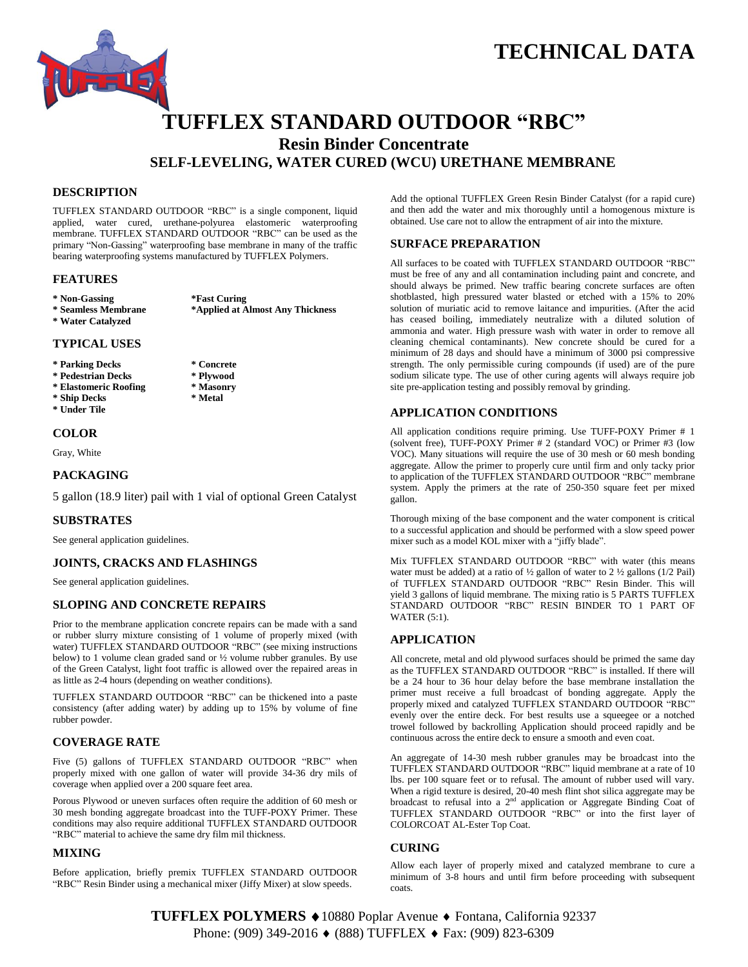# **TECHNICAL DATA**



# **TUFFLEX STANDARD OUTDOOR "RBC" Resin Binder Concentrate SELF-LEVELING, WATER CURED (WCU) URETHANE MEMBRANE**

# **DESCRIPTION**

TUFFLEX STANDARD OUTDOOR "RBC" is a single component, liquid applied, water cured, urethane-polyurea elastomeric waterproofing membrane. TUFFLEX STANDARD OUTDOOR "RBC" can be used as the primary "Non-Gassing" waterproofing base membrane in many of the traffic bearing waterproofing systems manufactured by TUFFLEX Polymers.

#### **FEATURES**

**\* Non-Gassing \*Fast Curing**

**\* Water Catalyzed**

**\* Seamless Membrane \*Applied at Almost Any Thickness**

#### **TYPICAL USES**

- **\* Parking Decks \* Concrete**
- 
- **\* Pedestrian Decks \* Plywood**
- **\* Elastomeric Roofing \* Masonry**  $*$  Ship Decks
- **\* Under Tile**

# **COLOR**

Gray, White

# **PACKAGING**

5 gallon (18.9 liter) pail with 1 vial of optional Green Catalyst

# **SUBSTRATES**

See general application guidelines.

#### **JOINTS, CRACKS AND FLASHINGS**

See general application guidelines.

# **SLOPING AND CONCRETE REPAIRS**

Prior to the membrane application concrete repairs can be made with a sand or rubber slurry mixture consisting of 1 volume of properly mixed (with water) TUFFLEX STANDARD OUTDOOR "RBC" (see mixing instructions below) to 1 volume clean graded sand or ½ volume rubber granules. By use of the Green Catalyst, light foot traffic is allowed over the repaired areas in as little as 2-4 hours (depending on weather conditions).

TUFFLEX STANDARD OUTDOOR "RBC" can be thickened into a paste consistency (after adding water) by adding up to 15% by volume of fine rubber powder.

# **COVERAGE RATE**

Five (5) gallons of TUFFLEX STANDARD OUTDOOR "RBC" when properly mixed with one gallon of water will provide 34-36 dry mils of coverage when applied over a 200 square feet area.

Porous Plywood or uneven surfaces often require the addition of 60 mesh or 30 mesh bonding aggregate broadcast into the TUFF-POXY Primer. These conditions may also require additional TUFFLEX STANDARD OUTDOOR "RBC" material to achieve the same dry film mil thickness.

#### **MIXING**

Before application, briefly premix TUFFLEX STANDARD OUTDOOR "RBC" Resin Binder using a mechanical mixer (Jiffy Mixer) at slow speeds.

Add the optional TUFFLEX Green Resin Binder Catalyst (for a rapid cure) and then add the water and mix thoroughly until a homogenous mixture is obtained. Use care not to allow the entrapment of air into the mixture.

## **SURFACE PREPARATION**

All surfaces to be coated with TUFFLEX STANDARD OUTDOOR "RBC" must be free of any and all contamination including paint and concrete, and should always be primed. New traffic bearing concrete surfaces are often shotblasted, high pressured water blasted or etched with a 15% to 20% solution of muriatic acid to remove laitance and impurities. (After the acid has ceased boiling, immediately neutralize with a diluted solution of ammonia and water. High pressure wash with water in order to remove all cleaning chemical contaminants). New concrete should be cured for a minimum of 28 days and should have a minimum of 3000 psi compressive strength. The only permissible curing compounds (if used) are of the pure sodium silicate type. The use of other curing agents will always require job site pre-application testing and possibly removal by grinding.

## **APPLICATION CONDITIONS**

All application conditions require priming. Use TUFF-POXY Primer # 1 (solvent free), TUFF-POXY Primer # 2 (standard VOC) or Primer #3 (low VOC). Many situations will require the use of 30 mesh or 60 mesh bonding aggregate. Allow the primer to properly cure until firm and only tacky prior to application of the TUFFLEX STANDARD OUTDOOR "RBC" membrane system. Apply the primers at the rate of 250-350 square feet per mixed gallon.

Thorough mixing of the base component and the water component is critical to a successful application and should be performed with a slow speed power mixer such as a model KOL mixer with a "jiffy blade".

Mix TUFFLEX STANDARD OUTDOOR "RBC" with water (this means water must be added) at a ratio of  $\frac{1}{2}$  gallon of water to 2  $\frac{1}{2}$  gallons (1/2 Pail) of TUFFLEX STANDARD OUTDOOR "RBC" Resin Binder. This will yield 3 gallons of liquid membrane. The mixing ratio is 5 PARTS TUFFLEX STANDARD OUTDOOR "RBC" RESIN BINDER TO 1 PART OF WATER (5:1).

#### **APPLICATION**

All concrete, metal and old plywood surfaces should be primed the same day as the TUFFLEX STANDARD OUTDOOR "RBC" is installed. If there will be a 24 hour to 36 hour delay before the base membrane installation the primer must receive a full broadcast of bonding aggregate. Apply the properly mixed and catalyzed TUFFLEX STANDARD OUTDOOR "RBC" evenly over the entire deck. For best results use a squeegee or a notched trowel followed by backrolling Application should proceed rapidly and be continuous across the entire deck to ensure a smooth and even coat.

An aggregate of 14-30 mesh rubber granules may be broadcast into the TUFFLEX STANDARD OUTDOOR "RBC" liquid membrane at a rate of 10 lbs. per 100 square feet or to refusal. The amount of rubber used will vary. When a rigid texture is desired, 20-40 mesh flint shot silica aggregate may be broadcast to refusal into a 2<sup>nd</sup> application or Aggregate Binding Coat of TUFFLEX STANDARD OUTDOOR "RBC" or into the first layer of COLORCOAT AL-Ester Top Coat.

#### **CURING**

Allow each layer of properly mixed and catalyzed membrane to cure a minimum of 3-8 hours and until firm before proceeding with subsequent coats.

**TUFFLEX POLYMERS** 10880 Poplar Avenue Fontana, California 92337 Phone: (909) 349-2016 ♦ (888) TUFFLEX ♦ Fax: (909) 823-6309